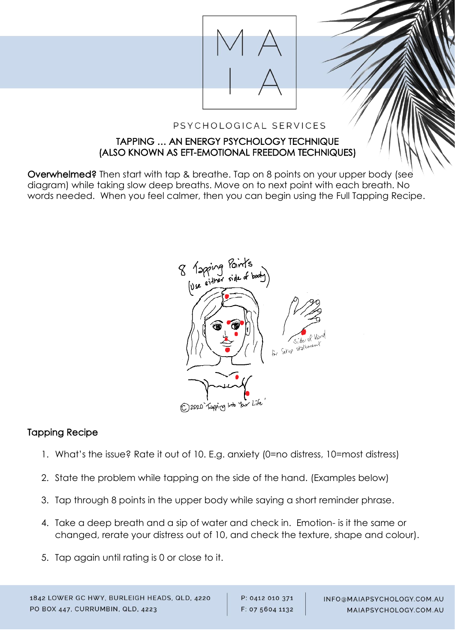

#### PSYCHOLOGICAL SERVICES

#### TAPPING … AN ENERGY PSYCHOLOGY TECHNIQUE (ALSO KNOWN AS EFT-EMOTIONAL FREEDOM TECHNIQUES)

Overwhelmed? Then start with tap & breathe. Tap on 8 points on your upper body (see diagram) while taking slow deep breaths. Move on to next point with each breath. No words needed. When you feel calmer, then you can begin using the Full Tapping Recipe.



#### Tapping Recipe

ł

- 1. What's the issue? Rate it out of 10. E.g. anxiety (0=no distress, 10=most distress)
- 2. State the problem while tapping on the side of the hand. (Examples below)
- 3. Tap through 8 points in the upper body while saying a short reminder phrase.
- 4. Take a deep breath and a sip of water and check in. Emotion- is it the same or changed, rerate your distress out of 10, and check the texture, shape and colour).
- 5. Tap again until rating is 0 or close to it.

P: 0412 010 371 F: 07 5604 1132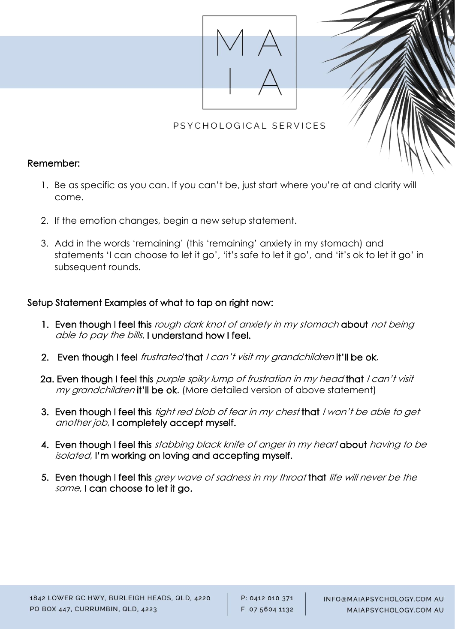

## PSYCHOLOGICAL SERVICES

#### Remember:

- 1. Be as specific as you can. If you can't be, just start where you're at and clarity will come.
- 2. If the emotion changes, begin a new setup statement.
- 3. Add in the words 'remaining' (this 'remaining' anxiety in my stomach) and statements 'I can choose to let it go', 'it's safe to let it go', and 'it's ok to let it go' in subsequent rounds.

### Setup Statement Examples of what to tap on right now:

- 1. Even though I feel this rough dark knot of anxiety in my stomach about not being able to pay the bills, I understand how I feel.
- 2. Even though I feel *frustrated* that *I can't visit my grandchildren* it'll be ok.
- 2a. Even though I feel this purple spiky lump of frustration in my head that I can't visit my grandchildren it'll be ok. (More detailed version of above statement)
- 3. Even though I feel this *tight red blob of fear in my chest* that I won't be able to get another job, I completely accept myself.
- 4. Even though I feel this stabbing black knife of anger in my heart about having to be isolated, I'm working on loving and accepting myself.
- 5. Even though I feel this grey wave of sadness in my throat that life will never be the same, I can choose to let it go.

ł